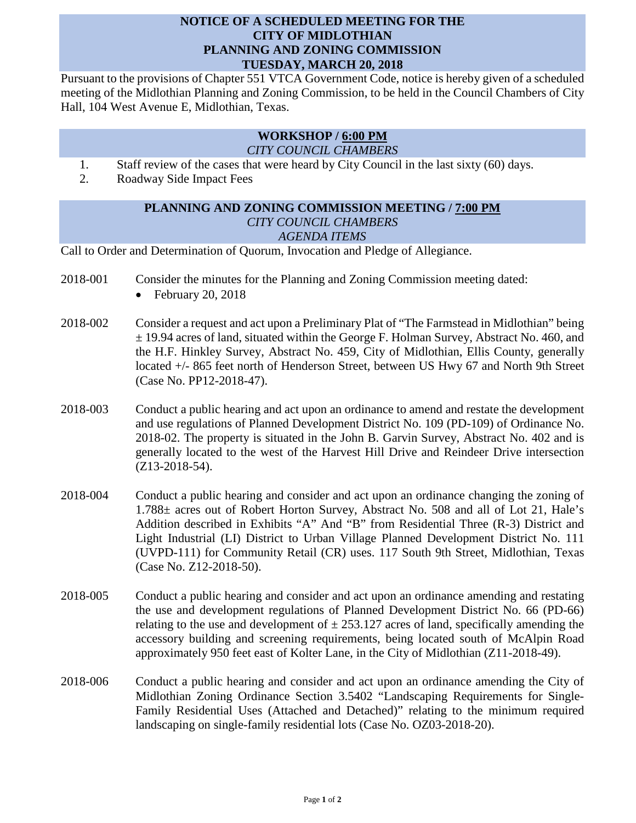## **NOTICE OF A SCHEDULED MEETING FOR THE CITY OF MIDLOTHIAN PLANNING AND ZONING COMMISSION TUESDAY, MARCH 20, 2018**

Pursuant to the provisions of Chapter 551 VTCA Government Code, notice is hereby given of a scheduled meeting of the Midlothian Planning and Zoning Commission, to be held in the Council Chambers of City Hall, 104 West Avenue E, Midlothian, Texas.

## **WORKSHOP / 6:00 PM** *CITY COUNCIL CHAMBERS*

- 1. Staff review of the cases that were heard by City Council in the last sixty (60) days.
- 2. Roadway Side Impact Fees

## **PLANNING AND ZONING COMMISSION MEETING / 7:00 PM** *CITY COUNCIL CHAMBERS AGENDA ITEMS*

Call to Order and Determination of Quorum, Invocation and Pledge of Allegiance.

- 2018-001 Consider the minutes for the Planning and Zoning Commission meeting dated:
	- February 20, 2018
- 2018-002 Consider a request and act upon a Preliminary Plat of "The Farmstead in Midlothian" being ± 19.94 acres of land, situated within the George F. Holman Survey, Abstract No. 460, and the H.F. Hinkley Survey, Abstract No. 459, City of Midlothian, Ellis County, generally located +/- 865 feet north of Henderson Street, between US Hwy 67 and North 9th Street (Case No. PP12-2018-47).
- 2018-003 Conduct a public hearing and act upon an ordinance to amend and restate the development and use regulations of Planned Development District No. 109 (PD-109) of Ordinance No. 2018-02. The property is situated in the John B. Garvin Survey, Abstract No. 402 and is generally located to the west of the Harvest Hill Drive and Reindeer Drive intersection (Z13-2018-54).
- 2018-004 Conduct a public hearing and consider and act upon an ordinance changing the zoning of 1.788± acres out of Robert Horton Survey, Abstract No. 508 and all of Lot 21, Hale's Addition described in Exhibits "A" And "B" from Residential Three (R-3) District and Light Industrial (LI) District to Urban Village Planned Development District No. 111 (UVPD-111) for Community Retail (CR) uses. 117 South 9th Street, Midlothian, Texas (Case No. Z12-2018-50).
- 2018-005 Conduct a public hearing and consider and act upon an ordinance amending and restating the use and development regulations of Planned Development District No. 66 (PD-66) relating to the use and development of  $\pm$  253.127 acres of land, specifically amending the accessory building and screening requirements, being located south of McAlpin Road approximately 950 feet east of Kolter Lane, in the City of Midlothian (Z11-2018-49).
- 2018-006 Conduct a public hearing and consider and act upon an ordinance amending the City of Midlothian Zoning Ordinance Section 3.5402 "Landscaping Requirements for Single-Family Residential Uses (Attached and Detached)" relating to the minimum required landscaping on single-family residential lots (Case No. OZ03-2018-20).